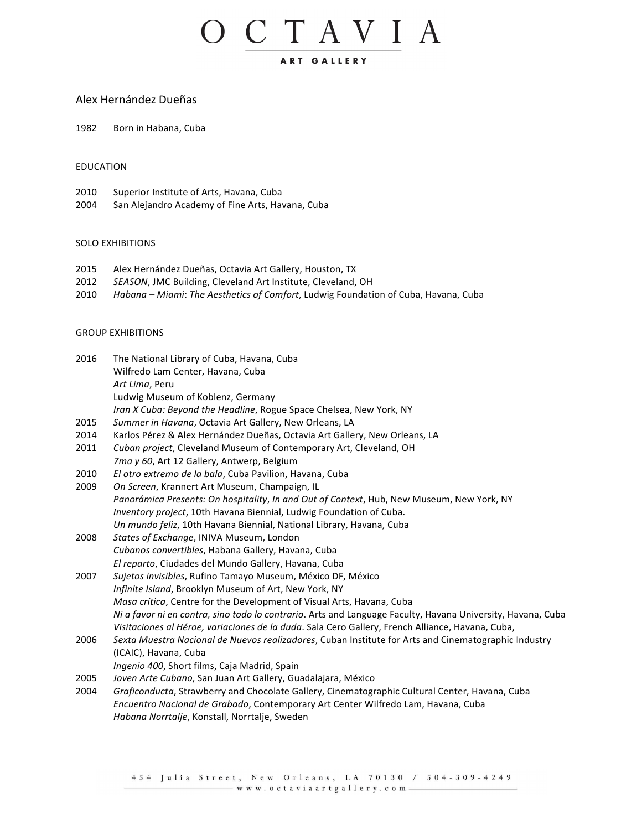## O C T A V I A ART GALLERY

### Alex Hernández Dueñas

1982 Born in Habana, Cuba

#### EDUCATION

- 2010 Superior Institute of Arts, Havana, Cuba
- 2004 San Alejandro Academy of Fine Arts, Havana, Cuba

#### SOLO EXHIBITIONS

- 2015 Alex Hernández Dueñas, Octavia Art Gallery, Houston, TX
- 2012 SEASON, JMC Building, Cleveland Art Institute, Cleveland, OH
- 2010 Habana Miami: The Aesthetics of Comfort, Ludwig Foundation of Cuba, Havana, Cuba

#### **GROUP EXHIBITIONS**

| 2016 | The National Library of Cuba, Havana, Cuba                                                                  |
|------|-------------------------------------------------------------------------------------------------------------|
|      | Wilfredo Lam Center, Havana, Cuba                                                                           |
|      | Art Lima, Peru                                                                                              |
|      | Ludwig Museum of Koblenz, Germany                                                                           |
|      | Iran X Cuba: Beyond the Headline, Rogue Space Chelsea, New York, NY                                         |
| 2015 | Summer in Havana, Octavia Art Gallery, New Orleans, LA                                                      |
| 2014 | Karlos Pérez & Alex Hernández Dueñas, Octavia Art Gallery, New Orleans, LA                                  |
| 2011 | Cuban project, Cleveland Museum of Contemporary Art, Cleveland, OH                                          |
|      | 7ma y 60, Art 12 Gallery, Antwerp, Belgium                                                                  |
| 2010 | El otro extremo de la bala, Cuba Pavilion, Havana, Cuba                                                     |
| 2009 | On Screen, Krannert Art Museum, Champaign, IL                                                               |
|      | Panorámica Presents: On hospitality, In and Out of Context, Hub, New Museum, New York, NY                   |
|      | Inventory project, 10th Havana Biennial, Ludwig Foundation of Cuba.                                         |
|      | Un mundo feliz, 10th Havana Biennial, National Library, Havana, Cuba                                        |
| 2008 | States of Exchange, INIVA Museum, London                                                                    |
|      | Cubanos convertibles, Habana Gallery, Havana, Cuba                                                          |
|      | El reparto, Ciudades del Mundo Gallery, Havana, Cuba                                                        |
| 2007 | Sujetos invisibles, Rufino Tamayo Museum, México DF, México                                                 |
|      | Infinite Island, Brooklyn Museum of Art, New York, NY                                                       |
|      | Masa crítica, Centre for the Development of Visual Arts, Havana, Cuba                                       |
|      | Ni a favor ni en contra, sino todo lo contrario. Arts and Language Faculty, Havana University, Havana, Cuba |
|      | Visitaciones al Héroe, variaciones de la duda. Sala Cero Gallery, French Alliance, Havana, Cuba,            |
| 2006 | Sexta Muestra Nacional de Nuevos realizadores, Cuban Institute for Arts and Cinematographic Industry        |
|      | (ICAIC), Havana, Cuba                                                                                       |
|      | Ingenio 400, Short films, Caja Madrid, Spain                                                                |
| 2005 | Joven Arte Cubano, San Juan Art Gallery, Guadalajara, México                                                |
| 2004 | Graficonducta, Strawberry and Chocolate Gallery, Cinematographic Cultural Center, Havana, Cuba              |
|      | Encuentro Nacional de Grabado, Contemporary Art Center Wilfredo Lam, Havana, Cuba                           |
|      | Habana Norrtalje, Konstall, Norrtalje, Sweden                                                               |